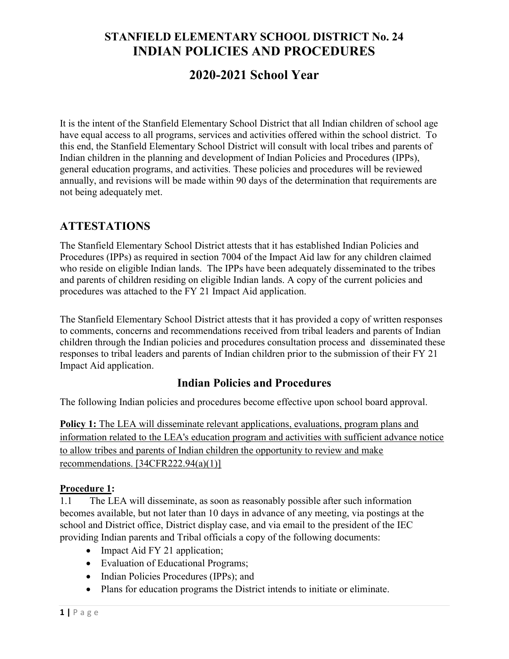# 2020-2021 School Year

It is the intent of the Stanfield Elementary School District that all Indian children of school age have equal access to all programs, services and activities offered within the school district. To this end, the Stanfield Elementary School District will consult with local tribes and parents of Indian children in the planning and development of Indian Policies and Procedures (IPPs), general education programs, and activities. These policies and procedures will be reviewed annually, and revisions will be made within 90 days of the determination that requirements are not being adequately met.

### ATTESTATIONS

The Stanfield Elementary School District attests that it has established Indian Policies and Procedures (IPPs) as required in section 7004 of the Impact Aid law for any children claimed who reside on eligible Indian lands. The IPPs have been adequately disseminated to the tribes and parents of children residing on eligible Indian lands. A copy of the current policies and procedures was attached to the FY 21 Impact Aid application.

The Stanfield Elementary School District attests that it has provided a copy of written responses to comments, concerns and recommendations received from tribal leaders and parents of Indian children through the Indian policies and procedures consultation process and disseminated these responses to tribal leaders and parents of Indian children prior to the submission of their FY 21 Impact Aid application.

### Indian Policies and Procedures

The following Indian policies and procedures become effective upon school board approval.

Policy 1: The LEA will disseminate relevant applications, evaluations, program plans and information related to the LEA's education program and activities with sufficient advance notice to allow tribes and parents of Indian children the opportunity to review and make recommendations. [34CFR222.94(a)(1)]

#### Procedure 1:

1.1 The LEA will disseminate, as soon as reasonably possible after such information becomes available, but not later than 10 days in advance of any meeting, via postings at the school and District office, District display case, and via email to the president of the IEC providing Indian parents and Tribal officials a copy of the following documents:

- Impact Aid FY 21 application;
- Evaluation of Educational Programs;
- Indian Policies Procedures (IPPs); and
- Plans for education programs the District intends to initiate or eliminate.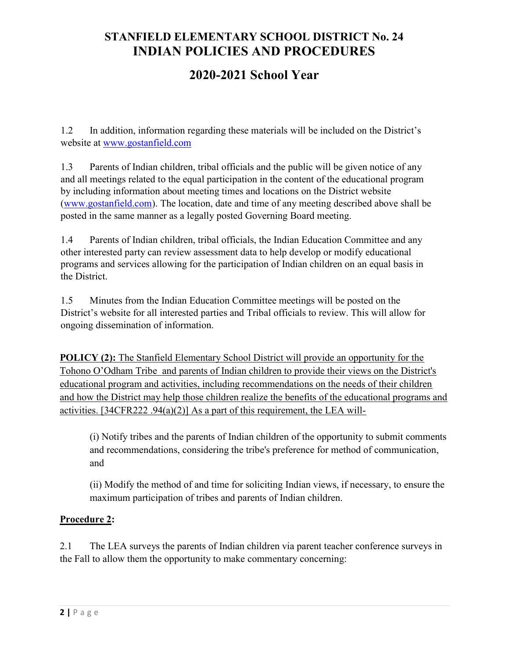# 2020-2021 School Year

1.2 In addition, information regarding these materials will be included on the District's website at www.gostanfield.com

1.3 Parents of Indian children, tribal officials and the public will be given notice of any and all meetings related to the equal participation in the content of the educational program by including information about meeting times and locations on the District website (www.gostanfield.com). The location, date and time of any meeting described above shall be posted in the same manner as a legally posted Governing Board meeting.

1.4 Parents of Indian children, tribal officials, the Indian Education Committee and any other interested party can review assessment data to help develop or modify educational programs and services allowing for the participation of Indian children on an equal basis in the District.

1.5 Minutes from the Indian Education Committee meetings will be posted on the District's website for all interested parties and Tribal officials to review. This will allow for ongoing dissemination of information.

POLICY (2): The Stanfield Elementary School District will provide an opportunity for the Tohono O'Odham Tribe and parents of Indian children to provide their views on the District's educational program and activities, including recommendations on the needs of their children and how the District may help those children realize the benefits of the educational programs and activities. [34CFR222 .94(a)(2)] As a part of this requirement, the LEA will-

(i) Notify tribes and the parents of Indian children of the opportunity to submit comments and recommendations, considering the tribe's preference for method of communication, and

(ii) Modify the method of and time for soliciting Indian views, if necessary, to ensure the maximum participation of tribes and parents of Indian children.

#### Procedure 2:

2.1 The LEA surveys the parents of Indian children via parent teacher conference surveys in the Fall to allow them the opportunity to make commentary concerning: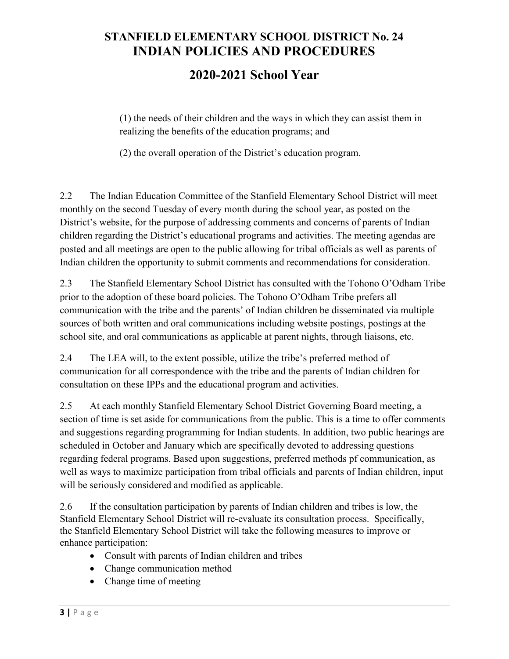## 2020-2021 School Year

(1) the needs of their children and the ways in which they can assist them in realizing the benefits of the education programs; and

(2) the overall operation of the District's education program.

2.2 The Indian Education Committee of the Stanfield Elementary School District will meet monthly on the second Tuesday of every month during the school year, as posted on the District's website, for the purpose of addressing comments and concerns of parents of Indian children regarding the District's educational programs and activities. The meeting agendas are posted and all meetings are open to the public allowing for tribal officials as well as parents of Indian children the opportunity to submit comments and recommendations for consideration.

2.3 The Stanfield Elementary School District has consulted with the Tohono O'Odham Tribe prior to the adoption of these board policies. The Tohono O'Odham Tribe prefers all communication with the tribe and the parents' of Indian children be disseminated via multiple sources of both written and oral communications including website postings, postings at the school site, and oral communications as applicable at parent nights, through liaisons, etc.

2.4 The LEA will, to the extent possible, utilize the tribe's preferred method of communication for all correspondence with the tribe and the parents of Indian children for consultation on these IPPs and the educational program and activities.

2.5 At each monthly Stanfield Elementary School District Governing Board meeting, a section of time is set aside for communications from the public. This is a time to offer comments and suggestions regarding programming for Indian students. In addition, two public hearings are scheduled in October and January which are specifically devoted to addressing questions regarding federal programs. Based upon suggestions, preferred methods pf communication, as well as ways to maximize participation from tribal officials and parents of Indian children, input will be seriously considered and modified as applicable.

2.6 If the consultation participation by parents of Indian children and tribes is low, the Stanfield Elementary School District will re-evaluate its consultation process. Specifically, the Stanfield Elementary School District will take the following measures to improve or enhance participation:

- Consult with parents of Indian children and tribes
- Change communication method
- Change time of meeting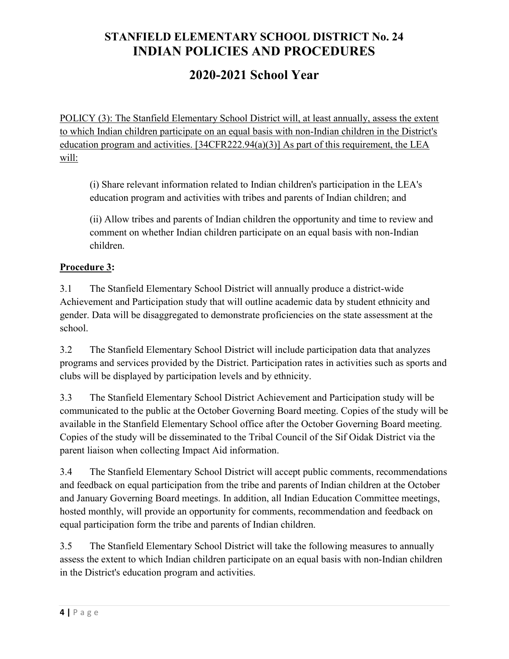# 2020-2021 School Year

POLICY (3): The Stanfield Elementary School District will, at least annually, assess the extent to which Indian children participate on an equal basis with non-Indian children in the District's education program and activities. [34CFR222.94(a)(3)] As part of this requirement, the LEA will:

(i) Share relevant information related to Indian children's participation in the LEA's education program and activities with tribes and parents of Indian children; and

(ii) Allow tribes and parents of Indian children the opportunity and time to review and comment on whether Indian children participate on an equal basis with non-Indian children.

#### Procedure 3:

3.1 The Stanfield Elementary School District will annually produce a district-wide Achievement and Participation study that will outline academic data by student ethnicity and gender. Data will be disaggregated to demonstrate proficiencies on the state assessment at the school.

3.2 The Stanfield Elementary School District will include participation data that analyzes programs and services provided by the District. Participation rates in activities such as sports and clubs will be displayed by participation levels and by ethnicity.

3.3 The Stanfield Elementary School District Achievement and Participation study will be communicated to the public at the October Governing Board meeting. Copies of the study will be available in the Stanfield Elementary School office after the October Governing Board meeting. Copies of the study will be disseminated to the Tribal Council of the Sif Oidak District via the parent liaison when collecting Impact Aid information.

3.4 The Stanfield Elementary School District will accept public comments, recommendations and feedback on equal participation from the tribe and parents of Indian children at the October and January Governing Board meetings. In addition, all Indian Education Committee meetings, hosted monthly, will provide an opportunity for comments, recommendation and feedback on equal participation form the tribe and parents of Indian children.

3.5 The Stanfield Elementary School District will take the following measures to annually assess the extent to which Indian children participate on an equal basis with non-Indian children in the District's education program and activities.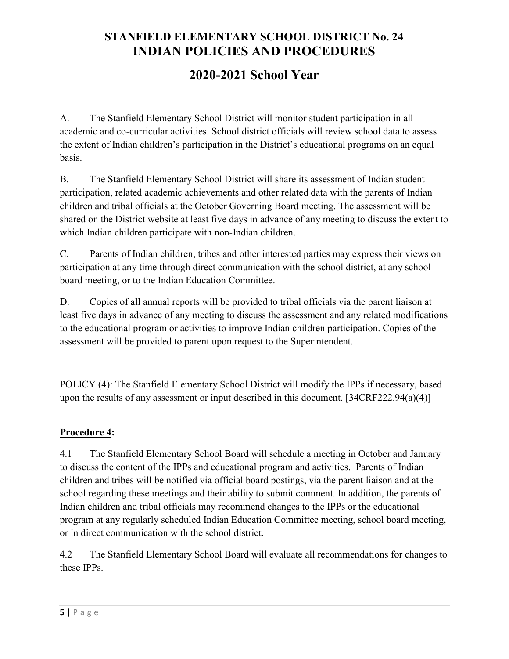# 2020-2021 School Year

A. The Stanfield Elementary School District will monitor student participation in all academic and co-curricular activities. School district officials will review school data to assess the extent of Indian children's participation in the District's educational programs on an equal basis.

B. The Stanfield Elementary School District will share its assessment of Indian student participation, related academic achievements and other related data with the parents of Indian children and tribal officials at the October Governing Board meeting. The assessment will be shared on the District website at least five days in advance of any meeting to discuss the extent to which Indian children participate with non-Indian children.

C. Parents of Indian children, tribes and other interested parties may express their views on participation at any time through direct communication with the school district, at any school board meeting, or to the Indian Education Committee.

D. Copies of all annual reports will be provided to tribal officials via the parent liaison at least five days in advance of any meeting to discuss the assessment and any related modifications to the educational program or activities to improve Indian children participation. Copies of the assessment will be provided to parent upon request to the Superintendent.

POLICY (4): The Stanfield Elementary School District will modify the IPPs if necessary, based upon the results of any assessment or input described in this document. [34CRF222.94(a)(4)]

#### Procedure 4:

4.1 The Stanfield Elementary School Board will schedule a meeting in October and January to discuss the content of the IPPs and educational program and activities. Parents of Indian children and tribes will be notified via official board postings, via the parent liaison and at the school regarding these meetings and their ability to submit comment. In addition, the parents of Indian children and tribal officials may recommend changes to the IPPs or the educational program at any regularly scheduled Indian Education Committee meeting, school board meeting, or in direct communication with the school district.

4.2 The Stanfield Elementary School Board will evaluate all recommendations for changes to these IPPs.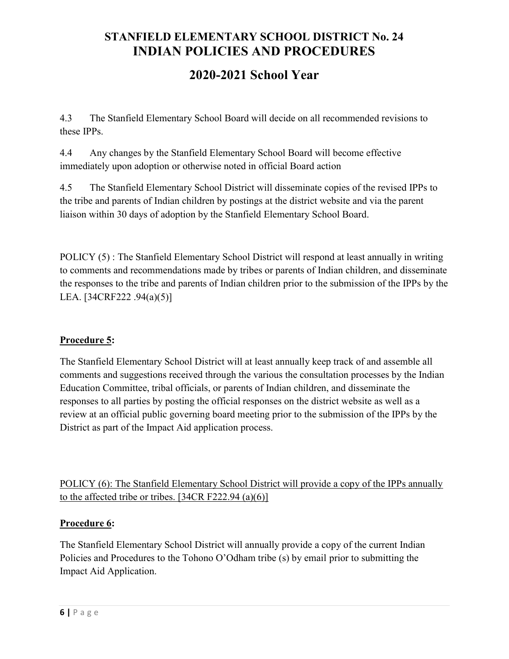# 2020-2021 School Year

4.3 The Stanfield Elementary School Board will decide on all recommended revisions to these IPPs.

4.4 Any changes by the Stanfield Elementary School Board will become effective immediately upon adoption or otherwise noted in official Board action

4.5 The Stanfield Elementary School District will disseminate copies of the revised IPPs to the tribe and parents of Indian children by postings at the district website and via the parent liaison within 30 days of adoption by the Stanfield Elementary School Board.

POLICY (5) : The Stanfield Elementary School District will respond at least annually in writing to comments and recommendations made by tribes or parents of Indian children, and disseminate the responses to the tribe and parents of Indian children prior to the submission of the IPPs by the LEA. [34CRF222 .94(a)(5)]

#### Procedure 5:

The Stanfield Elementary School District will at least annually keep track of and assemble all comments and suggestions received through the various the consultation processes by the Indian Education Committee, tribal officials, or parents of Indian children, and disseminate the responses to all parties by posting the official responses on the district website as well as a review at an official public governing board meeting prior to the submission of the IPPs by the District as part of the Impact Aid application process.

POLICY (6): The Stanfield Elementary School District will provide a copy of the IPPs annually to the affected tribe or tribes.  $[34CR F222.94 (a)(6)]$ 

#### Procedure 6:

The Stanfield Elementary School District will annually provide a copy of the current Indian Policies and Procedures to the Tohono O'Odham tribe (s) by email prior to submitting the Impact Aid Application.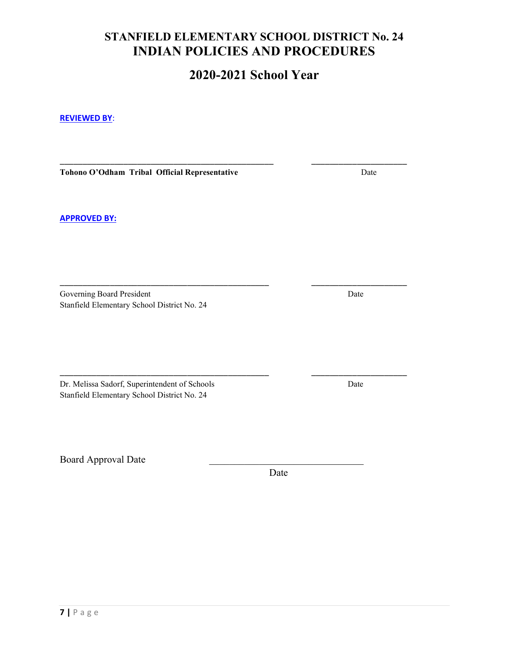## 2020-2021 School Year

\_\_\_\_\_\_\_\_\_\_\_\_\_\_\_\_\_\_\_\_\_\_\_\_\_\_\_\_\_\_\_\_\_\_\_\_\_\_\_\_\_\_\_\_\_\_\_ \_\_\_\_\_\_\_\_\_\_\_\_\_\_\_\_\_\_\_\_\_

\_\_\_\_\_\_\_\_\_\_\_\_\_\_\_\_\_\_\_\_\_\_\_\_\_\_\_\_\_\_\_\_\_\_\_\_\_\_\_\_\_\_\_\_\_\_ \_\_\_\_\_\_\_\_\_\_\_\_\_\_\_\_\_\_\_\_\_

#### REVIEWED BY:

Tohono O'Odham Tribal Official Representative Date

APPROVED BY:

Governing Board President Date Stanfield Elementary School District No. 24

Dr. Melissa Sadorf, Superintendent of Schools Date Stanfield Elementary School District No. 24

Board Approval Date

Date **Date** 

\_\_\_\_\_\_\_\_\_\_\_\_\_\_\_\_\_\_\_\_\_\_\_\_\_\_\_\_\_\_\_\_\_\_\_\_\_\_\_\_\_\_\_\_\_\_ \_\_\_\_\_\_\_\_\_\_\_\_\_\_\_\_\_\_\_\_\_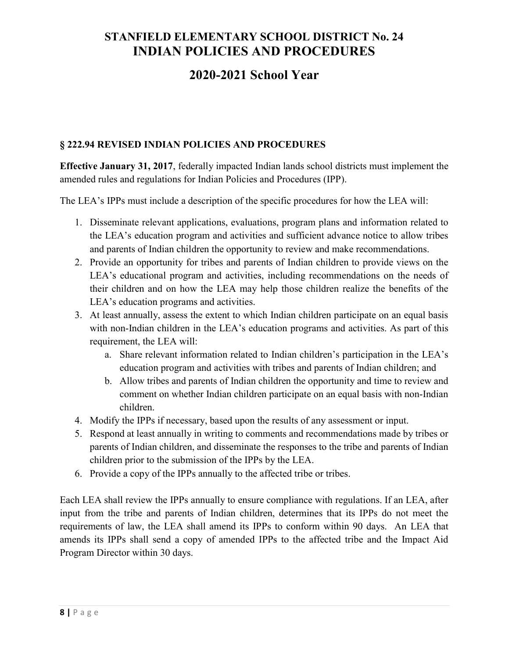## 2020-2021 School Year

#### § 222.94 REVISED INDIAN POLICIES AND PROCEDURES

Effective January 31, 2017, federally impacted Indian lands school districts must implement the amended rules and regulations for Indian Policies and Procedures (IPP).

The LEA's IPPs must include a description of the specific procedures for how the LEA will:

- 1. Disseminate relevant applications, evaluations, program plans and information related to the LEA's education program and activities and sufficient advance notice to allow tribes and parents of Indian children the opportunity to review and make recommendations.
- 2. Provide an opportunity for tribes and parents of Indian children to provide views on the LEA's educational program and activities, including recommendations on the needs of their children and on how the LEA may help those children realize the benefits of the LEA's education programs and activities.
- 3. At least annually, assess the extent to which Indian children participate on an equal basis with non-Indian children in the LEA's education programs and activities. As part of this requirement, the LEA will:
	- a. Share relevant information related to Indian children's participation in the LEA's education program and activities with tribes and parents of Indian children; and
	- b. Allow tribes and parents of Indian children the opportunity and time to review and comment on whether Indian children participate on an equal basis with non-Indian children.
- 4. Modify the IPPs if necessary, based upon the results of any assessment or input.
- 5. Respond at least annually in writing to comments and recommendations made by tribes or parents of Indian children, and disseminate the responses to the tribe and parents of Indian children prior to the submission of the IPPs by the LEA.
- 6. Provide a copy of the IPPs annually to the affected tribe or tribes.

Each LEA shall review the IPPs annually to ensure compliance with regulations. If an LEA, after input from the tribe and parents of Indian children, determines that its IPPs do not meet the requirements of law, the LEA shall amend its IPPs to conform within 90 days. An LEA that amends its IPPs shall send a copy of amended IPPs to the affected tribe and the Impact Aid Program Director within 30 days.